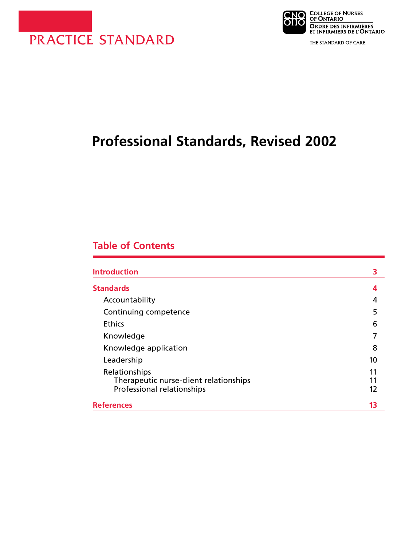



THE STANDARD OF CARE.

# **Professional Standards, Revised 2002**

# **Table of Contents**

| <b>Introduction</b>                                                                   | 3              |
|---------------------------------------------------------------------------------------|----------------|
| <b>Standards</b>                                                                      | 4              |
| Accountability                                                                        | 4              |
| Continuing competence                                                                 | 5              |
| <b>Ethics</b>                                                                         | 6              |
| Knowledge                                                                             |                |
| Knowledge application                                                                 | 8              |
| Leadership                                                                            | 10             |
| Relationships<br>Therapeutic nurse-client relationships<br>Professional relationships | 11<br>11<br>12 |
| References                                                                            | 13             |
|                                                                                       |                |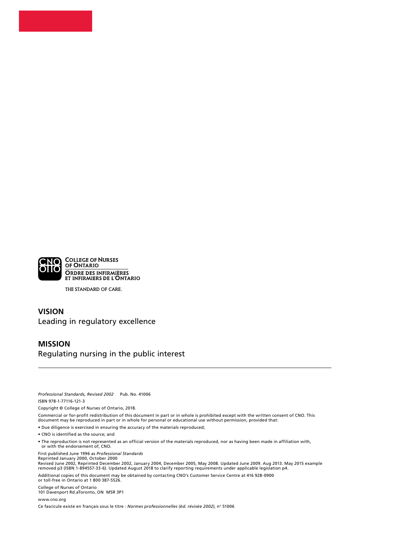

THE STANDARD OF CARE.

## **VISION** Leading in regulatory excellence

#### **MISSION** Regulating nursing in the public interest

*Professional Standards, Revised 2002* Pub. No. 41006 ISBN 978-1-77116-121-3

Copyright © College of Nurses of Ontario, 2018.

Commercial or for-profit redistribution of this document in part or in whole is prohibited except with the written consent of CNO. This document may be reproduced in part or in whole for personal or educational use without permission, provided that:

• Due diligence is exercised in ensuring the accuracy of the materials reproduced;

- CNO is identified as the source; and
- The reproduction is not represented as an official version of the materials reproduced, nor as having been made in affiliation with, or with the endorsement of, CNO.

First published June 1996 as *Professional Standards*

Reprinted January 2000, October 2000

Revised June 2002, Reprinted December 2002, January 2004, December 2005, May 2008. Updated June 2009. Aug 2013. May 2015 example<br>removed p3 (ISBN 1-894557-33-6). Updated August 2018 to clarify reporting requirements under

Additional copies of this document may be obtained by contacting CNO's Customer Service Centre at 416 928-0900 or toll-free in Ontario at 1 800 387-5526.

College of Nurses of Ontario 101 Davenport Rd.aToronto, ON M5R 3P1

[www.cno.org](http://www.cno.org)

Ce fascicule existe en français sous le titre : *Normes professionnelles (éd. révisée 2002)*, no 51006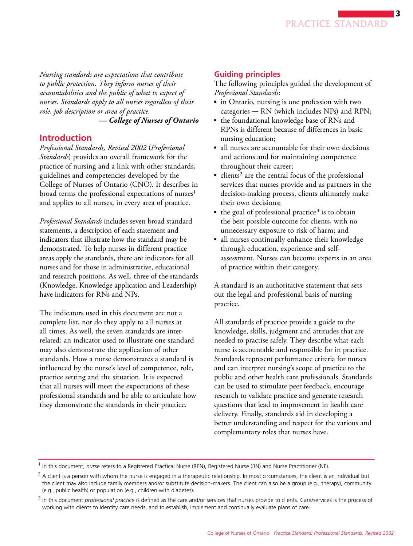<span id="page-2-0"></span>*Nursing standards are expectations that contribute to public protection. They inform nurses of their accountabilities and the public of what to expect of nurses. Standards apply to all nurses regardless of their role, job description or area of practice.* 

# *— College of Nurses of Ontario*

#### **Introduction**

*Professional Standards, Revised 2002* (*Professional Standards*) provides an overall framework for the practice of nursing and a link with other standards, guidelines and competencies developed by the College of Nurses of Ontario (CNO). It describes in broad terms the professional expectations of nurses<sup>1</sup> and applies to all nurses, in every area of practice.

*Professional Standards* includes seven broad standard statements, a description of each statement and indicators that illustrate how the standard may be demonstrated. To help nurses in different practice areas apply the standards, there are indicators for all nurses and for those in administrative, educational and research positions. As well, three of the standards (Knowledge, Knowledge application and Leadership) have indicators for RNs and NPs.

The indicators used in this document are not a complete list, nor do they apply to all nurses at all times. As well, the seven standards are interrelated; an indicator used to illustrate one standard may also demonstrate the application of other standards. How a nurse demonstrates a standard is influenced by the nurse's level of competence, role, practice setting and the situation. It is expected that all nurses will meet the expectations of these professional standards and be able to articulate how they demonstrate the standards in their practice.

#### **Guiding principles**

The following principles guided the development of *Professional Standards*:

- in Ontario, nursing is one profession with two categories — RN (which includes NPs) and RPN;
- the foundational knowledge base of RNs and RPNs is different because of differences in basic nursing education;
- all nurses are accountable for their own decisions and actions and for maintaining competence throughout their career;
- $\blacksquare$  clients<sup>2</sup> are the central focus of the professional services that nurses provide and as partners in the decision-making process, clients ultimately make their own decisions;
- $\blacksquare$  the goal of professional practice<sup>3</sup> is to obtain the best possible outcome for clients, with no unnecessary exposure to risk of harm; and
- all nurses continually enhance their knowledge through education, experience and selfassessment. Nurses can become experts in an area of practice within their category.

A standard is an authoritative statement that sets out the legal and professional basis of nursing practice.

All standards of practice provide a guide to the knowledge, skills, judgment and attitudes that are needed to practise safely. They describe what each nurse is accountable and responsible for in practice. Standards represent performance criteria for nurses and can interpret nursing's scope of practice to the public and other health care professionals. Standards can be used to stimulate peer feedback, encourage research to validate practice and generate research questions that lead to improvement in health care delivery. Finally, standards aid in developing a better understanding and respect for the various and complementary roles that nurses have.

<sup>1</sup>  In this document, *nurse* refers to a Registered Practical Nurse (RPN), Registered Nurse (RN) and Nurse Practitioner (NP).

 $^2$  A client is a person with whom the nurse is engaged in a therapeutic relationship. In most circumstances, the client is an individual but the client may also include family members and/or substitute decision-makers. The client can also be a group (e.g., therapy), community (e.g., public health) or population (e.g., children with diabetes).

<sup>3</sup>  In this document *professional practice* is defined as the care and/or services that nurses provide to clients. Care/services is the process of working with clients to identify care needs, and to establish, implement and continually evaluate plans of care.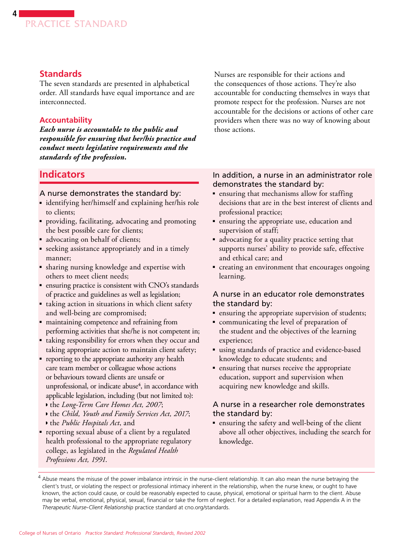# **Standards**

<span id="page-3-0"></span>**4**

The seven standards are presented in alphabetical order. All standards have equal importance and are interconnected.

#### **Accountability**

*Each nurse is accountable to the public and responsible for ensuring that her/his practice and conduct meets legislative requirements and the standards of the profession.* 

Nurses are responsible for their actions and the consequences of those actions. They're also accountable for conducting themselves in ways that promote respect for the profession. Nurses are not accountable for the decisions or actions of other care providers when there was no way of knowing about those actions.

# **Indicators**

#### A nurse demonstrates the standard by:

- identifying her/himself and explaining her/his role to clients;
- providing, facilitating, advocating and promoting the best possible care for clients;
- advocating on behalf of clients;
- seeking assistance appropriately and in a timely manner;
- sharing nursing knowledge and expertise with others to meet client needs;
- ensuring practice is consistent with CNO's standards of practice and guidelines as well as legislation;
- taking action in situations in which client safety and well-being are compromised;
- ■ maintaining competence and refraining from performing activities that she/he is not competent in;
- taking responsibility for errors when they occur and taking appropriate action to maintain client safety;
- reporting to the appropriate authority any health care team member or colleague whose actions or behaviours toward clients are unsafe or unprofessional, or indicate abuse<sup>4</sup>, in accordance with applicable legislation, including (but not limited to):
	- ◗ the *Long-Term Care Homes Act, 2007*;
	- ◗ the *Child, Youth and Family Services Act, 2017*; ◗ the *Public Hospitals Act*, and
- reporting sexual abuse of a client by a regulated health professional to the appropriate regulatory college, as legislated in the *Regulated Health*

*Professions Act, 1991*.

#### In addition, a nurse in an administrator role demonstrates the standard by:

- ensuring that mechanisms allow for staffing decisions that are in the best interest of clients and professional practice;
- ensuring the appropriate use, education and supervision of staff;
- advocating for a quality practice setting that supports nurses' ability to provide safe, effective and ethical care; and
- ■ creating an environment that encourages ongoing learning.

#### A nurse in an educator role demonstrates the standard by:

- ensuring the appropriate supervision of students;
- communicating the level of preparation of the student and the objectives of the learning experience;
- using standards of practice and evidence-based knowledge to educate students; and
- ensuring that nurses receive the appropriate education, support and supervision when acquiring new knowledge and skills.

## A nurse in a researcher role demonstrates the standard by:

■ ensuring the safety and well-being of the client above all other objectives, including the search for knowledge.

<sup>&</sup>lt;sup>4</sup> Abuse means the misuse of the power imbalance intrinsic in the nurse-client relationship. It can also mean the nurse betraying the client's trust, or violating the respect or professional intimacy inherent in the relationship, when the nurse knew, or ought to have known, the action could cause, or could be reasonably expected to cause, physical, emotional or spiritual harm to the client. Abuse may be verbal, emotional, physical, sexual, financial or take the form of neglect. For a detailed explanation, read Appendix A in the *Therapeutic Nurse-Client Relationship* practice standard at [cno.org/standards.](http://cno.org/standards)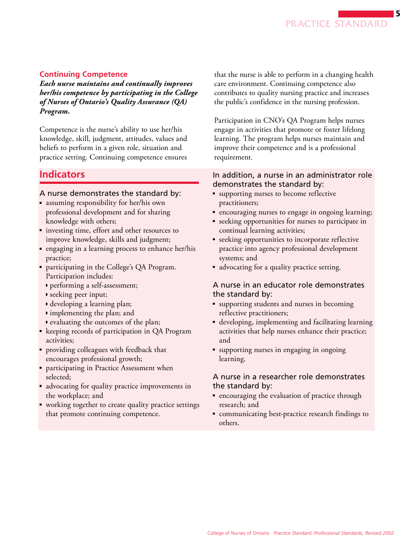#### <span id="page-4-0"></span>**Continuing Competence**

*Each nurse maintains and continually improves her/his competence by participating in the College of Nurses of Ontario's Quality Assurance (QA) Program.* 

Competence is the nurse's ability to use her/his knowledge, skill, judgment, attitudes, values and beliefs to perform in a given role, situation and practice setting. Continuing competence ensures

# **Indicators**

#### A nurse demonstrates the standard by:

- assuming responsibility for her/his own professional development and for sharing knowledge with others;
- investing time, effort and other resources to improve knowledge, skills and judgment;
- engaging in a learning process to enhance her/his practice;
- participating in the College's QA Program. Participation includes:
	- ◗ performing a self-assessment;
	- ◗ seeking peer input;
	- ◗ developing a learning plan;
	- ◗ implementing the plan; and
	- ◗ evaluating the outcomes of the plan;
- keeping records of participation in QA Program activities;
- providing colleagues with feedback that encourages professional growth;
- participating in Practice Assessment when selected;
- advocating for quality practice improvements in the workplace; and
- working together to create quality practice settings that promote continuing competence.

that the nurse is able to perform in a changing health care environment. Continuing competence also contributes to quality nursing practice and increases the public's confidence in the nursing profession.

Participation in CNO's QA Program helps nurses engage in activities that promote or foster lifelong learning. The program helps nurses maintain and improve their competence and is a professional requirement.

#### In addition, a nurse in an administrator role demonstrates the standard by:

- supporting nurses to become reflective practitioners;
- encouraging nurses to engage in ongoing learning;
- seeking opportunities for nurses to participate in continual learning activities;
- seeking opportunities to incorporate reflective practice into agency professional development systems; and
- advocating for a quality practice setting.

#### A nurse in an educator role demonstrates the standard by:

- supporting students and nurses in becoming reflective practitioners;
- developing, implementing and facilitating learning activities that help nurses enhance their practice; and
- supporting nurses in engaging in ongoing learning.

- encouraging the evaluation of practice through research; and
- communicating best-practice research findings to others.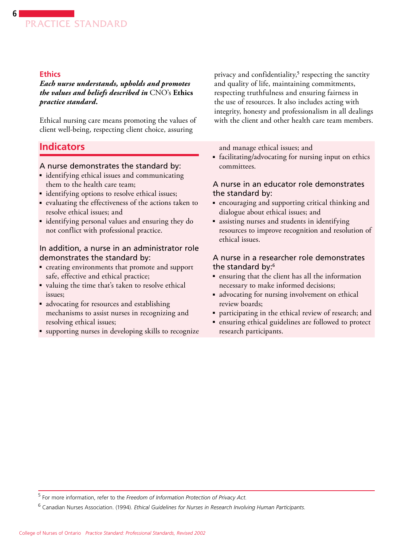## **Ethics**

<span id="page-5-0"></span>**6**

*Each nurse understands, upholds and promotes the values and beliefs described in* CNO's **Ethics**  *practice standard.* 

Ethical nursing care means promoting the values of client well-being, respecting client choice, assuring

# **Indicators**

#### A nurse demonstrates the standard by:

- identifying ethical issues and communicating them to the health care team;
- identifying options to resolve ethical issues;
- evaluating the effectiveness of the actions taken to resolve ethical issues; and
- identifying personal values and ensuring they do not conflict with professional practice.

#### In addition, a nurse in an administrator role demonstrates the standard by:

- ■ creating environments that promote and support safe, effective and ethical practice;
- valuing the time that's taken to resolve ethical issues;
- advocating for resources and establishing mechanisms to assist nurses in recognizing and resolving ethical issues;
- supporting nurses in developing skills to recognize

privacy and confidentiality,<sup>5</sup> respecting the sanctity and quality of life, maintaining commitments, respecting truthfulness and ensuring fairness in the use of resources. It also includes acting with integrity, honesty and professionalism in all dealings with the client and other health care team members.

and manage ethical issues; and

■ facilitating/advocating for nursing input on ethics committees.

#### A nurse in an educator role demonstrates the standard by:

- encouraging and supporting critical thinking and dialogue about ethical issues; and
- assisting nurses and students in identifying resources to improve recognition and resolution of ethical issues.

- ensuring that the client has all the information necessary to make informed decisions;
- advocating for nursing involvement on ethical review boards;
- participating in the ethical review of research; and
- ensuring ethical guidelines are followed to protect research participants.

<sup>5</sup> For more information, refer to the *Freedom of Information Protection of Privacy Act.* 

<sup>6</sup> Canadian Nurses Association. (1994). *Ethical Guidelines for Nurses in Research Involving Human Participants*.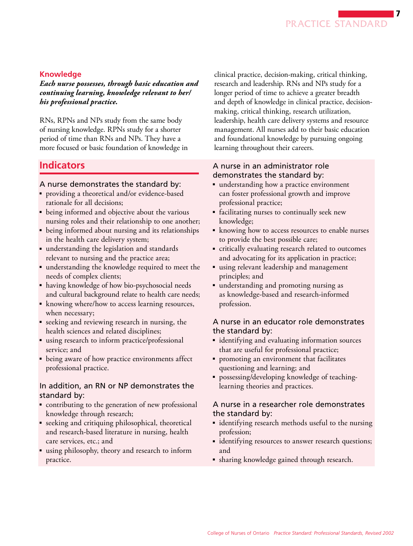# <span id="page-6-0"></span>**Knowledge**

*Each nurse possesses, through basic education and continuing learning, knowledge relevant to her/ his professional practice.* 

RNs, RPNs and NPs study from the same body of nursing knowledge. RPNs study for a shorter period of time than RNs and NPs. They have a more focused or basic foundation of knowledge in

# **Indicators**

# A nurse demonstrates the standard by:

- providing a theoretical and/or evidence-based rationale for all decisions;
- being informed and objective about the various nursing roles and their relationship to one another;
- being informed about nursing and its relationships in the health care delivery system;
- understanding the legislation and standards relevant to nursing and the practice area;
- understanding the knowledge required to meet the needs of complex clients;
- having knowledge of how bio-psychosocial needs and cultural background relate to health care needs;
- knowing where/how to access learning resources, when necessary;
- seeking and reviewing research in nursing, the health sciences and related disciplines;
- using research to inform practice/professional service; and
- being aware of how practice environments affect professional practice.

## In addition, an RN or NP demonstrates the standard by:

- contributing to the generation of new professional knowledge through research;
- seeking and critiquing philosophical, theoretical and research-based literature in nursing, health care services, etc.; and
- using philosophy, theory and research to inform practice.

clinical practice, decision-making, critical thinking, research and leadership. RNs and NPs study for a longer period of time to achieve a greater breadth and depth of knowledge in clinical practice, decisionmaking, critical thinking, research utilization, leadership, health care delivery systems and resource management. All nurses add to their basic education and foundational knowledge by pursuing ongoing learning throughout their careers.

## A nurse in an administrator role demonstrates the standard by:

- understanding how a practice environment can foster professional growth and improve professional practice;
- facilitating nurses to continually seek new knowledge;
- knowing how to access resources to enable nurses to provide the best possible care;
- critically evaluating research related to outcomes and advocating for its application in practice;
- using relevant leadership and management principles; and
- understanding and promoting nursing as as knowledge-based and research-informed profession.

# A nurse in an educator role demonstrates the standard by:

- identifying and evaluating information sources that are useful for professional practice;
- promoting an environment that facilitates questioning and learning; and
- possessing/developing knowledge of teachinglearning theories and practices.

- identifying research methods useful to the nursing profession;
- identifying resources to answer research questions; and
- sharing knowledge gained through research.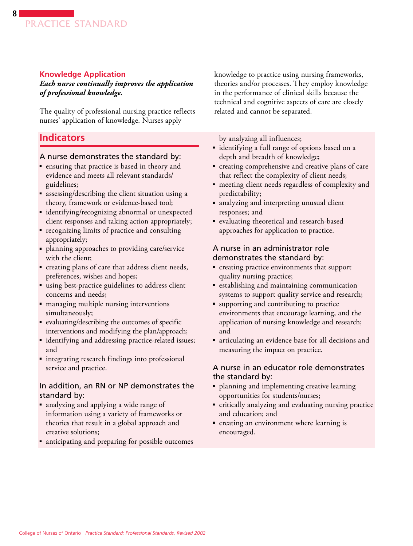#### <span id="page-7-0"></span>**Knowledge Application**

*Each nurse continually improves the application of professional knowledge.* 

The quality of professional nursing practice reflects nurses' application of knowledge. Nurses apply

# **Indicators**

#### A nurse demonstrates the standard by:

- ensuring that practice is based in theory and evidence and meets all relevant standards/ guidelines;
- assessing/describing the client situation using a theory, framework or evidence-based tool;
- identifying/recognizing abnormal or unexpected client responses and taking action appropriately;
- recognizing limits of practice and consulting appropriately;
- planning approaches to providing care/service with the client;
- ■ creating plans of care that address client needs, preferences, wishes and hopes;
- using best-practice guidelines to address client concerns and needs;
- managing multiple nursing interventions simultaneously;
- evaluating/describing the outcomes of specific interventions and modifying the plan/approach;
- identifying and addressing practice-related issues; and
- integrating research findings into professional service and practice.

#### In addition, an RN or NP demonstrates the standard by:

- analyzing and applying a wide range of information using a variety of frameworks or theories that result in a global approach and creative solutions;
- anticipating and preparing for possible outcomes

knowledge to practice using nursing frameworks, theories and/or processes. They employ knowledge in the performance of clinical skills because the technical and cognitive aspects of care are closely related and cannot be separated.

by analyzing all influences;

- identifying a full range of options based on a depth and breadth of knowledge;
- creating comprehensive and creative plans of care that reflect the complexity of client needs;
- meeting client needs regardless of complexity and predictability;
- analyzing and interpreting unusual client responses; and
- evaluating theoretical and research-based approaches for application to practice.

#### A nurse in an administrator role demonstrates the standard by:

- creating practice environments that support quality nursing practice;
- establishing and maintaining communication systems to support quality service and research;
- supporting and contributing to practice environments that encourage learning, and the application of nursing knowledge and research; and
- articulating an evidence base for all decisions and measuring the impact on practice.

#### A nurse in an educator role demonstrates the standard by:

- planning and implementing creative learning opportunities for students/nurses;
- critically analyzing and evaluating nursing practice and education; and
- creating an environment where learning is encouraged.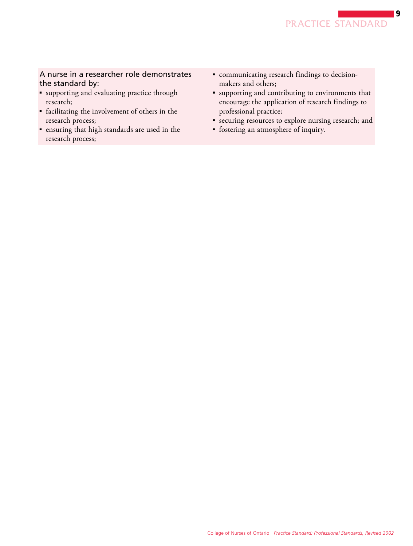- supporting and evaluating practice through research;
- facilitating the involvement of others in the research process;
- ■ ensuring that high standards are used in the research process;
- communicating research findings to decisionmakers and others;
- supporting and contributing to environments that encourage the application of research findings to professional practice;
- securing resources to explore nursing research; and
- ■ fostering an atmosphere of inquiry.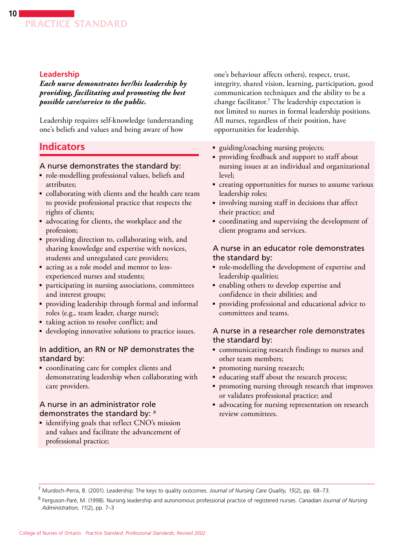#### <span id="page-9-0"></span>**Leadership**

*Each nurse demonstrates her/his leadership by providing, facilitating and promoting the best possible care/service to the public.* 

Leadership requires self-knowledge (understanding one's beliefs and values and being aware of how

# **Indicators**

#### A nurse demonstrates the standard by:

- role-modelling professional values, beliefs and attributes;
- collaborating with clients and the health care team to provide professional practice that respects the rights of clients;
- advocating for clients, the workplace and the profession;
- ■ providing direction to, collaborating with, and sharing knowledge and expertise with novices, students and unregulated care providers;
- acting as a role model and mentor to lessexperienced nurses and students;
- participating in nursing associations, committees and interest groups;
- providing leadership through formal and informal roles (e.g., team leader, charge nurse);
- taking action to resolve conflict; and
- developing innovative solutions to practice issues.

#### In addition, an RN or NP demonstrates the standard by:

■ coordinating care for complex clients and demonstrating leadership when collaborating with care providers.

# A nurse in an administrator role demonstrates the standard by: 8

■ identifying goals that reflect CNO's mission and values and facilitate the advancement of professional practice;

one's behaviour affects others), respect, trust, integrity, shared vision, learning, participation, good communication techniques and the ability to be a change facilitator.7 The leadership expectation is not limited to nurses in formal leadership positions. All nurses, regardless of their position, have opportunities for leadership.

- guiding/coaching nursing projects;
- ■ providing feedback and support to staff about nursing issues at an individual and organizational level;
- ■ creating opportunities for nurses to assume various leadership roles;
- involving nursing staff in decisions that affect their practice; and
- coordinating and supervising the development of client programs and services.

#### A nurse in an educator role demonstrates the standard by:

- ■ role-modelling the development of expertise and leadership qualities;
- enabling others to develop expertise and confidence in their abilities; and
- providing professional and educational advice to committees and teams.

#### A nurse in a researcher role demonstrates the standard by:

- communicating research findings to nurses and other team members;
- promoting nursing research;
- educating staff about the research process;
- promoting nursing through research that improves or validates professional practice; and
- advocating for nursing representation on research review committees.

7 Murdoch-Perra, B. (2001). Leadership: The keys to quality outcomes. *Journal of Nursing Care Quality, 15*(2), pp. 68–73.

<sup>8</sup>  Ferguson-Paré, M. (1998). Nursing leadership and autonomous professional practice of registered nurses. *Canadian Journal of Nursing Administration, 11*(2), pp. 7–3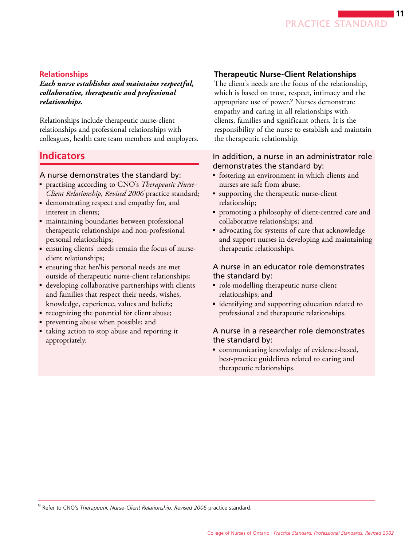

#### <span id="page-10-0"></span>**Relationships**

*Each nurse establishes and maintains respectful, collaborative, therapeutic and professional relationships.* 

Relationships include therapeutic nurse-client relationships and professional relationships with colleagues, health care team members and employers.

# **Indicators**

#### A nurse demonstrates the standard by:

- ■ practising according to CNO's *Therapeutic Nurse-Client Relationship, Revised 2006* practice standard;
- demonstrating respect and empathy for, and interest in clients;
- maintaining boundaries between professional therapeutic relationships and non-professional personal relationships;
- ensuring clients' needs remain the focus of nurseclient relationships;
- ■ ensuring that her/his personal needs are met outside of therapeutic nurse-client relationships;
- developing collaborative partnerships with clients and families that respect their needs, wishes, knowledge, experience, values and beliefs;
- recognizing the potential for client abuse;
- preventing abuse when possible; and
- taking action to stop abuse and reporting it appropriately.

#### **Therapeutic Nurse-Client Relationships**

The client's needs are the focus of the relationship, which is based on trust, respect, intimacy and the appropriate use of power.9 Nurses demonstrate empathy and caring in all relationships with clients, families and significant others. It is the responsibility of the nurse to establish and maintain the therapeutic relationship.

#### In addition, a nurse in an administrator role demonstrates the standard by:

- fostering an environment in which clients and nurses are safe from abuse;
- supporting the therapeutic nurse-client relationship;
- promoting a philosophy of client-centred care and collaborative relationships; and
- advocating for systems of care that acknowledge and support nurses in developing and maintaining therapeutic relationships.

#### A nurse in an educator role demonstrates the standard by:

- role-modelling therapeutic nurse-client relationships; and
- identifying and supporting education related to professional and therapeutic relationships.

#### A nurse in a researcher role demonstrates the standard by:

■ communicating knowledge of evidence-based, best-practice guidelines related to caring and therapeutic relationships.

<sup>9</sup> Refer to CNO's *Therapeutic Nurse-Client Relationship, Revised 2006* practice standard.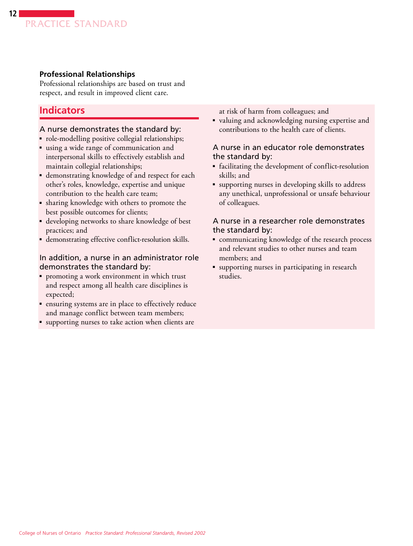## <span id="page-11-0"></span>**Professional Relationships**

Professional relationships are based on trust and respect, and result in improved client care.

# **Indicators**

#### A nurse demonstrates the standard by:

- role-modelling positive collegial relationships;
- using a wide range of communication and interpersonal skills to effectively establish and maintain collegial relationships;
- demonstrating knowledge of and respect for each other's roles, knowledge, expertise and unique contribution to the health care team;
- sharing knowledge with others to promote the best possible outcomes for clients;
- developing networks to share knowledge of best practices; and
- ■ demonstrating effective conflict-resolution skills.

#### In addition, a nurse in an administrator role demonstrates the standard by:

- promoting a work environment in which trust and respect among all health care disciplines is expected;
- ensuring systems are in place to effectively reduce and manage conflict between team members;
- supporting nurses to take action when clients are

at risk of harm from colleagues; and

■ valuing and acknowledging nursing expertise and contributions to the health care of clients.

#### A nurse in an educator role demonstrates the standard by:

- facilitating the development of conflict-resolution skills; and
- ■ supporting nurses in developing skills to address any unethical, unprofessional or unsafe behaviour of colleagues.

- communicating knowledge of the research process and relevant studies to other nurses and team members; and
- supporting nurses in participating in research studies.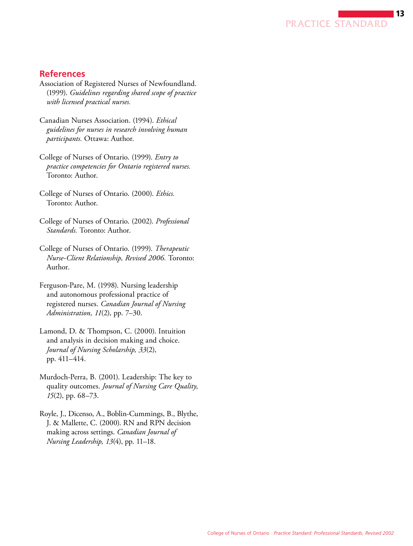PRACTICE STANDARD

13

## <span id="page-12-0"></span>**References**

- Association of Registered Nurses of Newfoundland. (1999). *Guidelines regarding shared scope of practice with licensed practical nurses.*
- Canadian Nurses Association. (1994). *Ethical guidelines for nurses in research involving human participants.* Ottawa: Author.
- College of Nurses of Ontario. (1999). *Entry to practice competencies for Ontario registered nurses.*  Toronto: Author.
- College of Nurses of Ontario. (2000). *Ethics.*  Toronto: Author.
- College of Nurses of Ontario. (2002). *Professional Standards.* Toronto: Author.
- College of Nurses of Ontario. (1999). *Therapeutic Nurse-Client Relationship, Revised 2006.* Toronto: Author.
- Ferguson-Pare, M. (1998). Nursing leadership and autonomous professional practice of registered nurses. *Canadian Journal of Nursing Administration, 11*(2), pp. 7–30.
- Lamond, D. & Thompson, C. (2000). Intuition and analysis in decision making and choice. *Journal of Nursing Scholarship, 33*(2), pp. 411–414.
- Murdoch-Perra, B. (2001). Leadership: The key to quality outcomes. *Journal of Nursing Care Quality, 15*(2), pp. 68–73.
- Royle, J., Dicenso, A., Boblin-Cummings, B., Blythe, J. & Mallette, C. (2000). RN and RPN decision making across settings. *Canadian Journal of Nursing Leadership, 13*(4), pp. 11–18.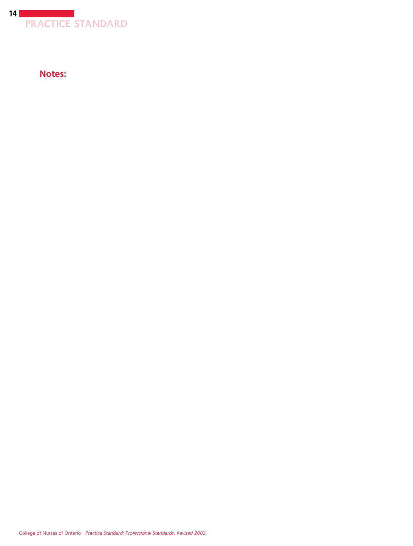

**Notes:**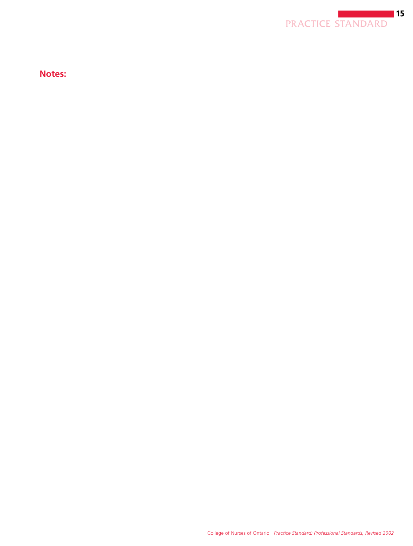

**Notes:**